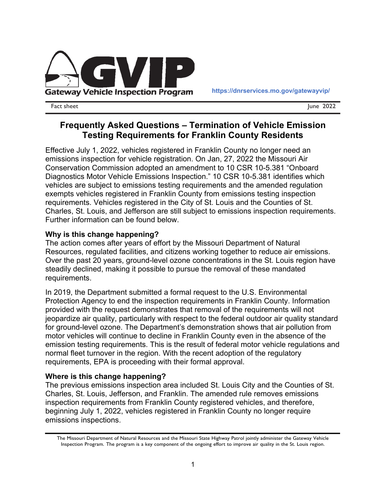

Fact sheet June 2022

# **Frequently Asked Questions – Termination of Vehicle Emission Testing Requirements for Franklin County Residents**

Effective July 1, 2022, vehicles registered in Franklin County no longer need an emissions inspection for vehicle registration. On Jan, 27, 2022 the Missouri Air Conservation Commission adopted an amendment to 10 CSR 10-5.381 "Onboard Diagnostics Motor Vehicle Emissions Inspection." 10 CSR 10-5.381 identifies which vehicles are subject to emissions testing requirements and the amended regulation exempts vehicles registered in Franklin County from emissions testing inspection requirements. Vehicles registered in the City of St. Louis and the Counties of St. Charles, St. Louis, and Jefferson are still subject to emissions inspection requirements. Further information can be found below.

### **Why is this change happening?**

The action comes after years of effort by the Missouri Department of Natural Resources, regulated facilities, and citizens working together to reduce air emissions. Over the past 20 years, ground-level ozone concentrations in the St. Louis region have steadily declined, making it possible to pursue the removal of these mandated requirements.

In 2019, the Department submitted a formal request to the U.S. Environmental Protection Agency to end the inspection requirements in Franklin County. Information provided with the request demonstrates that removal of the requirements will not jeopardize air quality, particularly with respect to the federal outdoor air quality standard for ground-level ozone. The Department's demonstration shows that air pollution from motor vehicles will continue to decline in Franklin County even in the absence of the emission testing requirements. This is the result of federal motor vehicle regulations and normal fleet turnover in the region. With the recent adoption of the regulatory requirements, EPA is proceeding with their formal approval.

### **Where is this change happening?**

The previous emissions inspection area included St. Louis City and the Counties of St. Charles, St. Louis, Jefferson, and Franklin. The amended rule removes emissions inspection requirements from Franklin County registered vehicles, and therefore, beginning July 1, 2022, vehicles registered in Franklin County no longer require emissions inspections.

The Missouri Department of Natural Resources and the Missouri State Highway Patrol jointly administer the Gateway Vehicle Inspection Program. The program is a key component of the ongoing effort to improve air quality in the St. Louis region.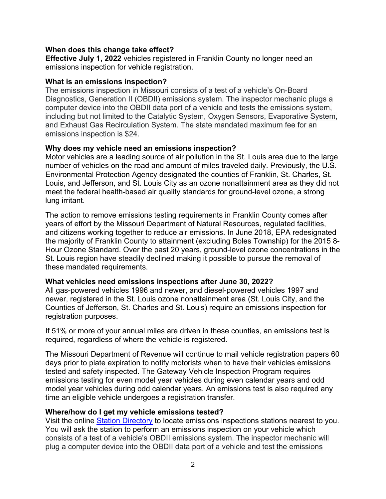#### **When does this change take effect?**

**Effective July 1, 2022** vehicles registered in Franklin County no longer need an emissions inspection for vehicle registration.

#### **What is an emissions inspection?**

The emissions inspection in Missouri consists of a test of a vehicle's On-Board Diagnostics, Generation II (OBDII) emissions system. The inspector mechanic plugs a computer device into the OBDII data port of a vehicle and tests the emissions system, including but not limited to the Catalytic System, Oxygen Sensors, Evaporative System, and Exhaust Gas Recirculation System. The state mandated maximum fee for an emissions inspection is \$24.

### **Why does my vehicle need an emissions inspection?**

Motor vehicles are a leading source of air pollution in the St. Louis area due to the large number of vehicles on the road and amount of miles traveled daily. Previously, the U.S. Environmental Protection Agency designated the counties of Franklin, St. Charles, St. Louis, and Jefferson, and St. Louis City as an ozone nonattainment area as they did not meet the federal health-based air quality standards for ground-level ozone, a strong lung irritant.

The action to remove emissions testing requirements in Franklin County comes after years of effort by the Missouri Department of Natural Resources, regulated facilities, and citizens working together to reduce air emissions. In June 2018, EPA redesignated the majority of Franklin County to attainment (excluding Boles Township) for the 2015 8- Hour Ozone Standard. Over the past 20 years, ground-level ozone concentrations in the St. Louis region have steadily declined making it possible to pursue the removal of these mandated requirements.

### **What vehicles need emissions inspections after June 30, 2022?**

All gas-powered vehicles 1996 and newer, and diesel-powered vehicles 1997 and newer, registered in the St. Louis ozone nonattainment area (St. Louis City, and the Counties of Jefferson, St. Charles and St. Louis) require an emissions inspection for registration purposes.

If 51% or more of your annual miles are driven in these counties, an emissions test is required, regardless of where the vehicle is registered.

The Missouri Department of Revenue will continue to mail vehicle registration papers 60 days prior to plate expiration to notify motorists when to have their vehicles emissions tested and safety inspected. The Gateway Vehicle Inspection Program requires emissions testing for even model year vehicles during even calendar years and odd model year vehicles during odd calendar years. An emissions test is also required any time an eligible vehicle undergoes a registration transfer.

### **Where/how do I get my vehicle emissions tested?**

Visit the online Station Directory to locate emissions inspections stations nearest to you. You will ask the station to perform an emissions inspection on your vehicle which consists of a test of a vehicle's OBDII emissions system. The inspector mechanic will plug a computer device into the OBDII data port of a vehicle and test the emissions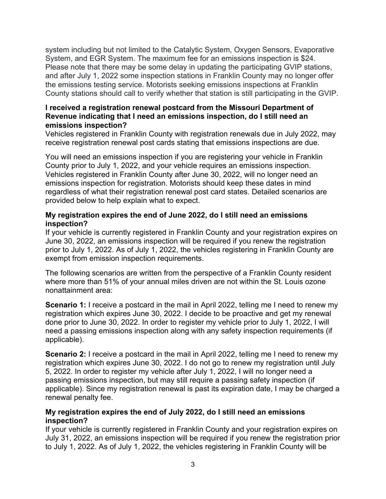system including but not limited to the Catalytic System, Oxygen Sensors, Evaporative System, and EGR System. The maximum fee for an emissions inspection is \$24. Please note that there may be some delay in updating the participating GVIP stations, and after July 1, 2022 some inspection stations in Franklin County may no longer offer the emissions testing service. Motorists seeking emissions inspections at Franklin County stations should call to verify whether that station is still participating in the GVIP.

### **I received a registration renewal postcard from the Missouri Department of Revenue indicating that I need an emissions inspection, do I still need an emissions inspection?**

Vehicles registered in Franklin County with registration renewals due in July 2022, may receive registration renewal post cards stating that emissions inspections are due.

You will need an emissions inspection if you are registering your vehicle in Franklin County prior to July 1, 2022, and your vehicle requires an emissions inspection. Vehicles registered in Franklin County after June 30, 2022, will no longer need an emissions inspection for registration. Motorists should keep these dates in mind regardless of what their registration renewal post card states. Detailed scenarios are provided below to help explain what to expect.

### **My registration expires the end of June 2022, do I still need an emissions inspection?**

If your vehicle is currently registered in Franklin County and your registration expires on June 30, 2022, an emissions inspection will be required if you renew the registration prior to July 1, 2022. As of July 1, 2022, the vehicles registering in Franklin County are exempt from emission inspection requirements.

The following scenarios are written from the perspective of a Franklin County resident where more than 51% of your annual miles driven are not within the St. Louis ozone nonattainment area:

**Scenario 1:** I receive a postcard in the mail in April 2022, telling me I need to renew my registration which expires June 30, 2022. I decide to be proactive and get my renewal done prior to June 30, 2022. In order to register my vehicle prior to July 1, 2022, I will need a passing emissions inspection along with any safety inspection requirements (if applicable).

**Scenario 2:** I receive a postcard in the mail in April 2022, telling me I need to renew my registration which expires June 30, 2022. I do not go to renew my registration until July 5, 2022. In order to register my vehicle after July 1, 2022, I will no longer need a passing emissions inspection, but may still require a passing safety inspection (if applicable). Since my registration renewal is past its expiration date, I may be charged a renewal penalty fee.

### **My registration expires the end of July 2022, do I still need an emissions inspection?**

If your vehicle is currently registered in Franklin County and your registration expires on July 31, 2022, an emissions inspection will be required if you renew the registration prior to July 1, 2022. As of July 1, 2022, the vehicles registering in Franklin County will be